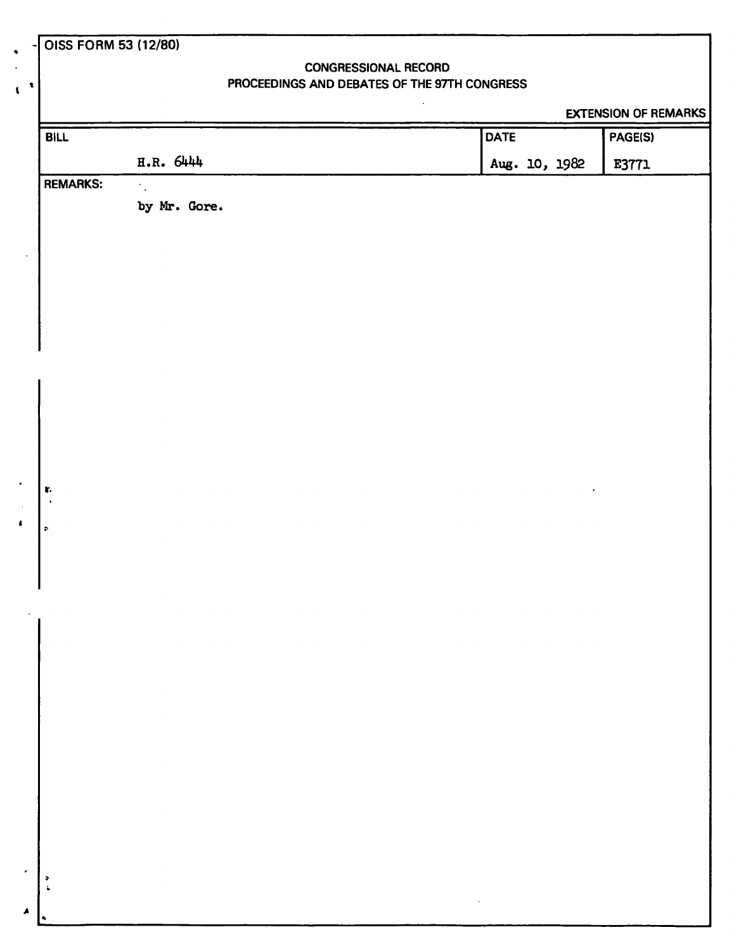|  |  |  | OISS FORM 53 (12/80) |
|--|--|--|----------------------|
|--|--|--|----------------------|

 $\pmb{\mathcal{N}}$ 

## **CONGRESSIONAL RECORD PROCEEDINGS AND DEBATES OF THE 97TH CONGRESS**

 $\ddot{\phantom{a}}$ 

## **EXTENSION OF REMARKS**

| <b>BILL</b>                        |              | <b>DATE</b>                                                                                    | PAGE(S) |
|------------------------------------|--------------|------------------------------------------------------------------------------------------------|---------|
|                                    | H.R. 6444    | Aug. 10, 1982                                                                                  | E3771   |
| <b>REMARKS:</b>                    | by Mr. Gore. |                                                                                                |         |
|                                    |              |                                                                                                |         |
| J.                                 |              |                                                                                                |         |
|                                    |              |                                                                                                |         |
| $\pmb{r}$<br>$\lambda$             |              |                                                                                                |         |
| $\hat{\mathbf{r}}$                 |              |                                                                                                |         |
|                                    |              |                                                                                                |         |
|                                    |              |                                                                                                |         |
|                                    |              |                                                                                                |         |
|                                    |              |                                                                                                |         |
| $\bullet$<br>$\ddot{\bullet}$<br>٠ |              | $\mathcal{L}^{\mathcal{L}}(\mathcal{A})$ . The set of $\mathcal{L}^{\mathcal{L}}(\mathcal{A})$ |         |